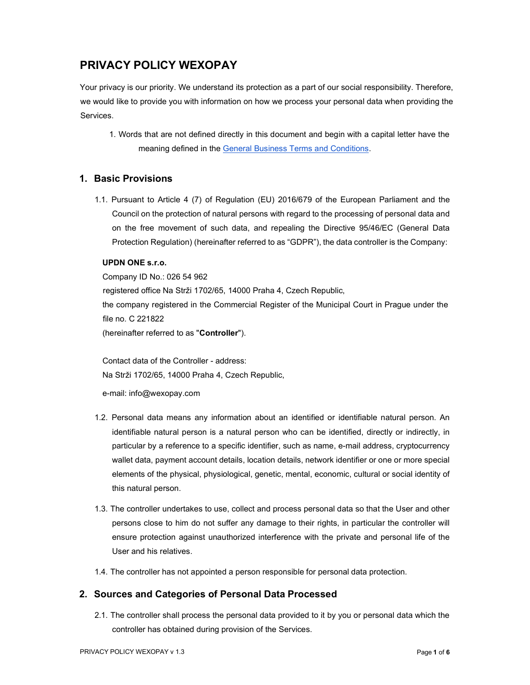# PRIVACY POLICY WEXOPAY

Your privacy is our priority. We understand its protection as a part of our social responsibility. Therefore, we would like to provide you with information on how we process your personal data when providing the Services.

1. Words that are not defined directly in this document and begin with a capital letter have the meaning defined in the General Business Terms and Conditions.

# 1. Basic Provisions

1.1. Pursuant to Article 4 (7) of Regulation (EU) 2016/679 of the European Parliament and the Council on the protection of natural persons with regard to the processing of personal data and on the free movement of such data, and repealing the Directive 95/46/EC (General Data Protection Regulation) (hereinafter referred to as "GDPR"), the data controller is the Company:

#### UPDN ONE s.r.o.

Company ID No.: 026 54 962 registered office Na Strži 1702/65, 14000 Praha 4, Czech Republic, the company registered in the Commercial Register of the Municipal Court in Prague under the file no. C 221822 (hereinafter referred to as "Controller").

Contact data of the Controller - address: Na Strži 1702/65, 14000 Praha 4, Czech Republic,

e-mail: info@wexopay.com

- 1.2. Personal data means any information about an identified or identifiable natural person. An identifiable natural person is a natural person who can be identified, directly or indirectly, in particular by a reference to a specific identifier, such as name, e-mail address, cryptocurrency wallet data, payment account details, location details, network identifier or one or more special elements of the physical, physiological, genetic, mental, economic, cultural or social identity of this natural person.
- 1.3. The controller undertakes to use, collect and process personal data so that the User and other persons close to him do not suffer any damage to their rights, in particular the controller will ensure protection against unauthorized interference with the private and personal life of the User and his relatives.
- 1.4. The controller has not appointed a person responsible for personal data protection.

# 2. Sources and Categories of Personal Data Processed

2.1. The controller shall process the personal data provided to it by you or personal data which the controller has obtained during provision of the Services.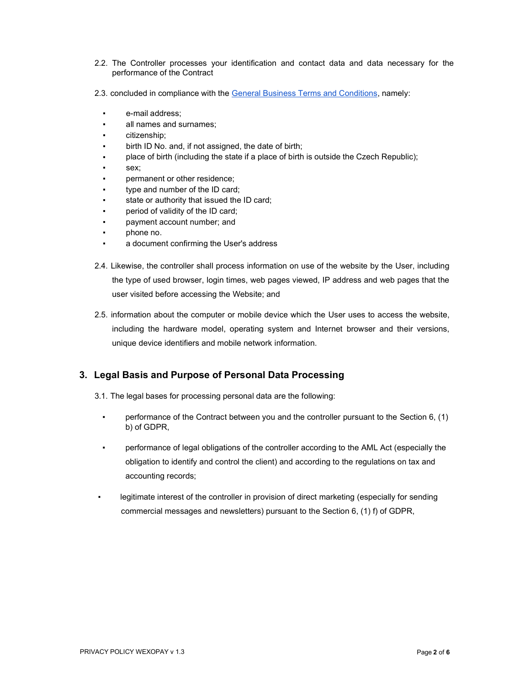- 2.2. The Controller processes your identification and contact data and data necessary for the performance of the Contract
- 2.3. concluded in compliance with the General Business Terms and Conditions, namely:
	- e-mail address;
	- all names and surnames;
	- citizenship:
	- birth ID No. and, if not assigned, the date of birth;
	- place of birth (including the state if a place of birth is outside the Czech Republic);
	- sex;
	- permanent or other residence;
	- type and number of the ID card;
	- state or authority that issued the ID card;
	- period of validity of the ID card;
	- payment account number; and
	- phone no.
	- a document confirming the User's address
- 2.4. Likewise, the controller shall process information on use of the website by the User, including the type of used browser, login times, web pages viewed, IP address and web pages that the user visited before accessing the Website; and
- 2.5. information about the computer or mobile device which the User uses to access the website, including the hardware model, operating system and Internet browser and their versions, unique device identifiers and mobile network information.

### 3. Legal Basis and Purpose of Personal Data Processing

- 3.1. The legal bases for processing personal data are the following:
	- performance of the Contract between you and the controller pursuant to the Section  $6, (1)$ b) of GDPR,
	- performance of legal obligations of the controller according to the AML Act (especially the obligation to identify and control the client) and according to the regulations on tax and accounting records;
- legitimate interest of the controller in provision of direct marketing (especially for sending commercial messages and newsletters) pursuant to the Section 6, (1) f) of GDPR,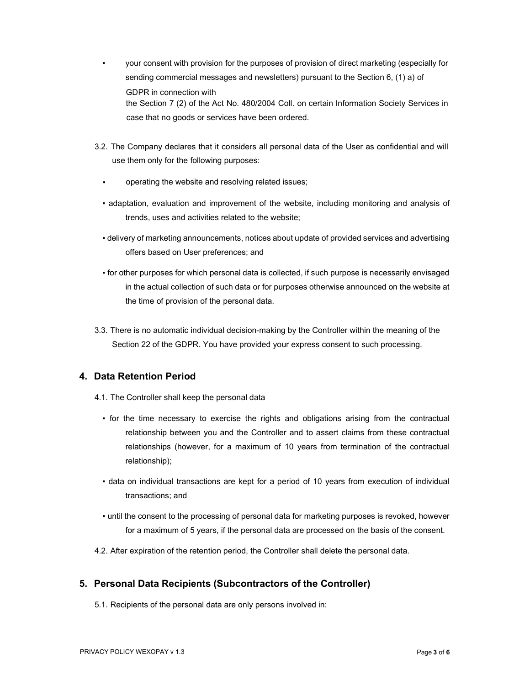- your consent with provision for the purposes of provision of direct marketing (especially for sending commercial messages and newsletters) pursuant to the Section 6, (1) a) of GDPR in connection with the Section 7 (2) of the Act No. 480/2004 Coll. on certain Information Society Services in case that no goods or services have been ordered.
- 3.2. The Company declares that it considers all personal data of the User as confidential and will use them only for the following purposes:
	- operating the website and resolving related issues;
	- adaptation, evaluation and improvement of the website, including monitoring and analysis of trends, uses and activities related to the website;
	- delivery of marketing announcements, notices about update of provided services and advertising offers based on User preferences; and
	- for other purposes for which personal data is collected, if such purpose is necessarily envisaged in the actual collection of such data or for purposes otherwise announced on the website at the time of provision of the personal data.
- 3.3. There is no automatic individual decision-making by the Controller within the meaning of the Section 22 of the GDPR. You have provided your express consent to such processing.

# 4. Data Retention Period

- 4.1. The Controller shall keep the personal data
	- for the time necessary to exercise the rights and obligations arising from the contractual relationship between you and the Controller and to assert claims from these contractual relationships (however, for a maximum of 10 years from termination of the contractual relationship);
	- data on individual transactions are kept for a period of 10 years from execution of individual transactions; and
	- until the consent to the processing of personal data for marketing purposes is revoked, however for a maximum of 5 years, if the personal data are processed on the basis of the consent.
- 4.2. After expiration of the retention period, the Controller shall delete the personal data.

# 5. Personal Data Recipients (Subcontractors of the Controller)

5.1. Recipients of the personal data are only persons involved in: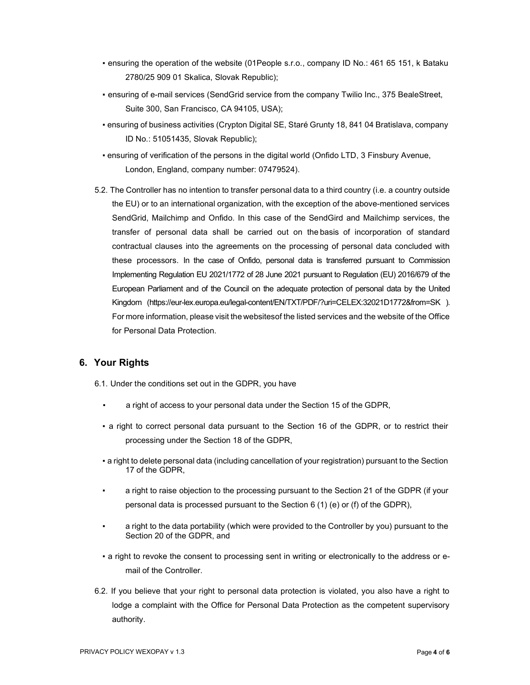- ensuring the operation of the website (01People s.r.o., company ID No.: 461 65 151, k Bataku 2780/25 909 01 Skalica, Slovak Republic);
- **· ensuring of e-mail services (SendGrid service from the company Twilio Inc., 375 BealeStreet,** Suite 300, San Francisco, CA 94105, USA);
- ensuring of business activities (Crypton Digital SE, Staré Grunty 18, 841 04 Bratislava, company ID No.: 51051435, Slovak Republic);
- ensuring of verification of the persons in the digital world (Onfido LTD, 3 Finsbury Avenue, London, England, company number: 07479524).
- 5.2. The Controller has no intention to transfer personal data to a third country (i.e. a country outside the EU) or to an international organization, with the exception of the above-mentioned services SendGrid, Mailchimp and Onfido. In this case of the SendGird and Mailchimp services, the transfer of personal data shall be carried out on the basis of incorporation of standard contractual clauses into the agreements on the processing of personal data concluded with these processors. In the case of Onfido, personal data is transferred pursuant to Commission Implementing Regulation EU 2021/1772 of 28 June 2021 pursuant to Regulation (EU) 2016/679 of the European Parliament and of the Council on the adequate protection of personal data by the United Kingdom (https://eur-lex.europa.eu/legal-content/EN/TXT/PDF/?uri=CELEX:32021D1772&from=SK ). For more information, please visit the websites of the listed services and the website of the Office for Personal Data Protection.

### 6. Your Rights

- 6.1. Under the conditions set out in the GDPR, you have
	- a right of access to your personal data under the Section 15 of the GDPR,
	- a right to correct personal data pursuant to the Section 16 of the GDPR, or to restrict their processing under the Section 18 of the GDPR,
	- a right to delete personal data (including cancellation of your registration) pursuant to the Section 17 of the GDPR,
	- a right to raise objection to the processing pursuant to the Section 21 of the GDPR (if your personal data is processed pursuant to the Section 6 (1) (e) or (f) of the GDPR),
	- a right to the data portability (which were provided to the Controller by you) pursuant to the Section 20 of the GDPR, and
	- a right to revoke the consent to processing sent in writing or electronically to the address or email of the Controller.
- 6.2. If you believe that your right to personal data protection is violated, you also have a right to lodge a complaint with the Office for Personal Data Protection as the competent supervisory authority.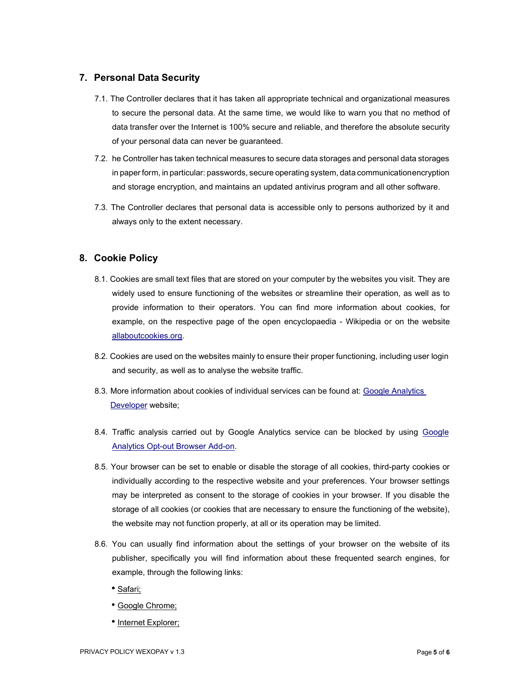# 7. Personal Data Security

- 7.1. The Controller declares that it has taken all appropriate technical and organizational measures to secure the personal data. At the same time, we would like to warn you that no method of data transfer over the Internet is 100% secure and reliable, and therefore the absolute security of your personal data can never be guaranteed.
- 7.2. he Controller has taken technical measures to secure data storages and personal data storages in paper form, in particular: passwords, secure operating system, data communication encryption and storage encryption, and maintains an updated antivirus program and all other software.
- 7.3. The Controller declares that personal data is accessible only to persons authorized by it and always only to the extent necessary.

# 8. Cookie Policy

- 8.1. Cookies are small text files that are stored on your computer by the websites you visit. They are widely used to ensure functioning of the websites or streamline their operation, as well as to provide information to their operators. You can find more information about cookies, for example, on the respective page of the open encyclopaedia - Wikipedia or on the website allaboutcookies.org.
- 8.2. Cookies are used on the websites mainly to ensure their proper functioning, including user login and security, as well as to analyse the website traffic.
- 8.3. More information about cookies of individual services can be found at: Google Analytics Developer website;
- 8.4. Traffic analysis carried out by Google Analytics service can be blocked by using Google Analytics Opt-out Browser Add-on.
- 8.5. Your browser can be set to enable or disable the storage of all cookies, third-party cookies or individually according to the respective website and your preferences. Your browser settings may be interpreted as consent to the storage of cookies in your browser. If you disable the storage of all cookies (or cookies that are necessary to ensure the functioning of the website), the website may not function properly, at all or its operation may be limited.
- 8.6. You can usually find information about the settings of your browser on the website of its publisher, specifically you will find information about these frequented search engines, for example, through the following links:
	- Safari;
	- Google Chrome;
	- Internet Explorer;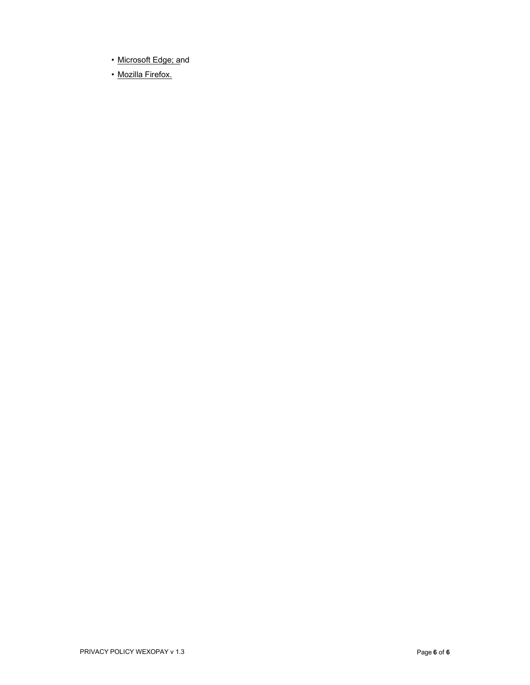- Microsoft Edge; and
- Mozilla Firefox.